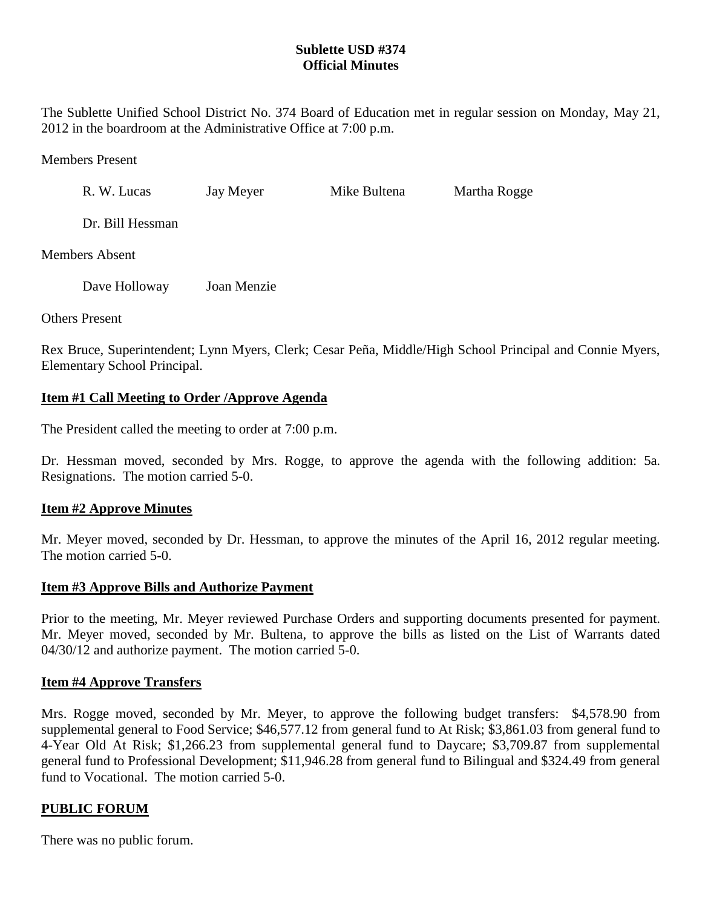## **Sublette USD #374 Official Minutes**

The Sublette Unified School District No. 374 Board of Education met in regular session on Monday, May 21, 2012 in the boardroom at the Administrative Office at 7:00 p.m.

Members Present

R. W. Lucas Jay Meyer Mike Bultena Martha Rogge

Dr. Bill Hessman

Members Absent

Dave Holloway Joan Menzie

Others Present

Rex Bruce, Superintendent; Lynn Myers, Clerk; Cesar Peña, Middle/High School Principal and Connie Myers, Elementary School Principal.

## **Item #1 Call Meeting to Order /Approve Agenda**

The President called the meeting to order at 7:00 p.m.

Dr. Hessman moved, seconded by Mrs. Rogge, to approve the agenda with the following addition: 5a. Resignations. The motion carried 5-0.

## **Item #2 Approve Minutes**

Mr. Meyer moved, seconded by Dr. Hessman, to approve the minutes of the April 16, 2012 regular meeting. The motion carried 5-0.

## **Item #3 Approve Bills and Authorize Payment**

Prior to the meeting, Mr. Meyer reviewed Purchase Orders and supporting documents presented for payment. Mr. Meyer moved, seconded by Mr. Bultena, to approve the bills as listed on the List of Warrants dated 04/30/12 and authorize payment. The motion carried 5-0.

### **Item #4 Approve Transfers**

Mrs. Rogge moved, seconded by Mr. Meyer, to approve the following budget transfers: \$4,578.90 from supplemental general to Food Service; \$46,577.12 from general fund to At Risk; \$3,861.03 from general fund to 4-Year Old At Risk; \$1,266.23 from supplemental general fund to Daycare; \$3,709.87 from supplemental general fund to Professional Development; \$11,946.28 from general fund to Bilingual and \$324.49 from general fund to Vocational. The motion carried 5-0.

## **PUBLIC FORUM**

There was no public forum.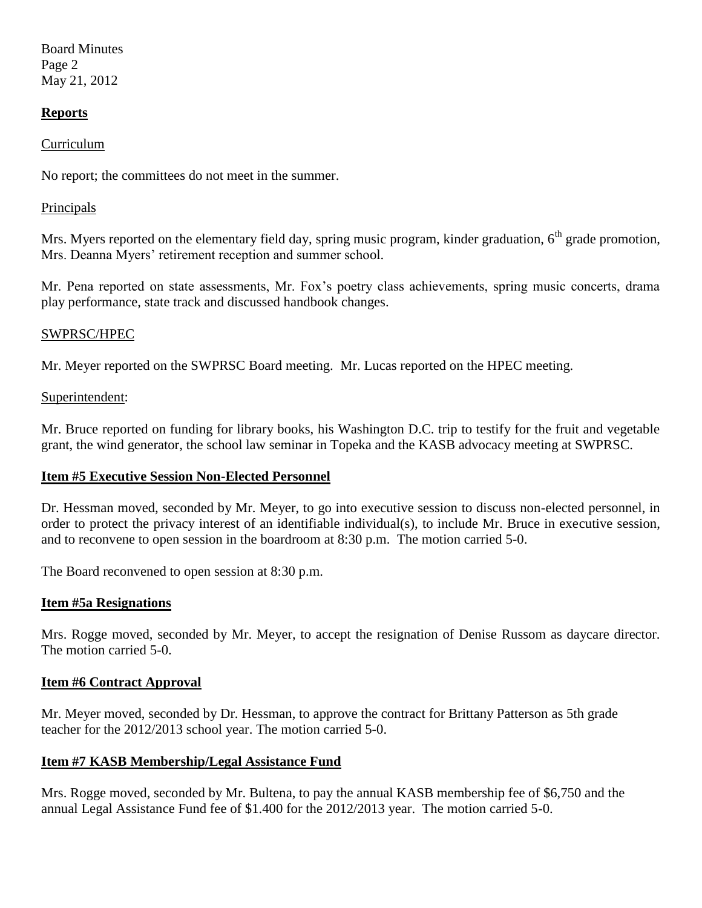Board Minutes Page 2 May 21, 2012

### **Reports**

### Curriculum

No report; the committees do not meet in the summer.

#### Principals

Mrs. Myers reported on the elementary field day, spring music program, kinder graduation,  $6<sup>th</sup>$  grade promotion, Mrs. Deanna Myers' retirement reception and summer school.

Mr. Pena reported on state assessments, Mr. Fox's poetry class achievements, spring music concerts, drama play performance, state track and discussed handbook changes.

### SWPRSC/HPEC

Mr. Meyer reported on the SWPRSC Board meeting. Mr. Lucas reported on the HPEC meeting.

#### Superintendent:

Mr. Bruce reported on funding for library books, his Washington D.C. trip to testify for the fruit and vegetable grant, the wind generator, the school law seminar in Topeka and the KASB advocacy meeting at SWPRSC.

### **Item #5 Executive Session Non-Elected Personnel**

Dr. Hessman moved, seconded by Mr. Meyer, to go into executive session to discuss non-elected personnel, in order to protect the privacy interest of an identifiable individual(s), to include Mr. Bruce in executive session, and to reconvene to open session in the boardroom at 8:30 p.m. The motion carried 5-0.

The Board reconvened to open session at 8:30 p.m.

### **Item #5a Resignations**

Mrs. Rogge moved, seconded by Mr. Meyer, to accept the resignation of Denise Russom as daycare director. The motion carried 5-0.

#### **Item #6 Contract Approval**

Mr. Meyer moved, seconded by Dr. Hessman, to approve the contract for Brittany Patterson as 5th grade teacher for the 2012/2013 school year. The motion carried 5-0.

### **Item #7 KASB Membership/Legal Assistance Fund**

Mrs. Rogge moved, seconded by Mr. Bultena, to pay the annual KASB membership fee of \$6,750 and the annual Legal Assistance Fund fee of \$1.400 for the 2012/2013 year. The motion carried 5-0.